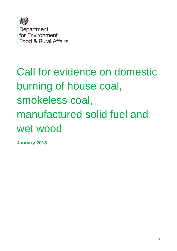

# Call for evidence on domestic burning of house coal, smokeless coal, manufactured solid fuel and wet wood

**January 2018**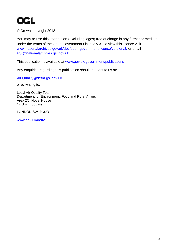

© Crown copyright 2018

You may re-use this information (excluding logos) free of charge in any format or medium, under the terms of the Open Government Licence v.3. To view this licence visit [www.nationalarchives.gov.uk/doc/open-government-licence/version/3/](http://www.nationalarchives.gov.uk/doc/open-government-licence/version/3/) or email [PSI@nationalarchives.gsi.gov.uk](mailto:PSI@nationalarchives.gsi.gov.uk) 

This publication is available at [www.gov.uk/government/publications](http://www.gov.uk/government/publications) 

Any enquiries regarding this publication should be sent to us at:

[Air.Quality@defra.gsi.gov.uk](mailto:Air.Quality@defra.gsi.gov.uk)

or by writing to:

Local Air Quality Team Department for Environment, Food and Rural Affairs Area 2C, Nobel House 17 Smith Square

LONDON SW1P 3JR

[www.gov.uk/defra](http://www.gov.uk/defra)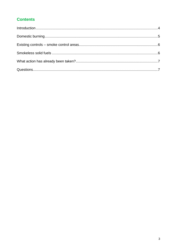#### **Contents**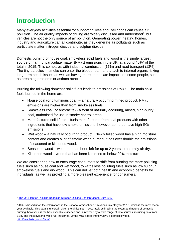# <span id="page-3-0"></span>**Introduction**

Many everyday activities essential for supporting lives and livelihoods can cause air pollution. The air quality impacts of driving are widely discussed and understood<sup>1</sup>, but vehicles are not the only source of air pollution. Generating power, heating homes, industry and agriculture can all contribute, as they generate air pollutants such as particulate matter, nitrogen dioxide and sulphur dioxide.

Domestic burning of house coal, smokeless solid fuels and wood is the single largest source of harmful particulate matter (PM $_{2.5}$ ) emissions in the UK, at around 40%<sup>2</sup> of the total in 2015. This compares with industrial combustion (17%) and road transport (13%). The tiny particles in smoke can enter the bloodstream and attach to internal organs risking long term health issues as well as having more immediate impacts on some people, such as breathing problems or asthma attacks.

Burning the following domestic solid fuels leads to emissions of PM2.5. The main solid fuels burned in the home are:

- $\bullet$  House coal (or bituminous coal) a naturally occurring mined product. PM<sub>2.5</sub> emissions are higher than from smokeless fuels.
- Smokeless coal (or anthracite) a form of naturally occurring, mined, high-purity coal, authorised for use in smoke control areas.
- Manufactured solid fuels fuels manufactured from coal products with other ingredients that have low smoke emissions, however some do have high SO<sub>2</sub> emissions.
- Wet wood a naturally occurring product. Newly felled wood has a high moisture content and creates a lot of smoke when burned, it has over double the emissions of seasoned or kiln dried wood.
- Seasoned wood wood that has been left for up to 2 years to naturally air dry.
- $\bullet$  Kiln dried wood wood that has been kiln dried to below 20% moisture.

We are considering how to encourage consumers to shift from burning the more polluting fuels such as house coal and wet wood, towards less polluting fuels such as low sulphur smokeless fuels and dry wood. This can deliver both health and economic benefits for individuals, as well as providing a more pleasant experience for consumers.

1

<sup>1</sup> [The UK Plan for Tackling Roadside Nitrogen Dioxide Concentrations, July 2017](https://www.gov.uk/government/publications/air-quality-plan-for-nitrogen-dioxide-no2-in-uk-2017)

 $240\%$  is based upon the calculations in the National Atmospheric Emissions Inventory for 2015, which is the most recent year available. This data is uncertain given the difficulties in accurately estimating the extent and nature of domestic burning, however it is the best available evidence and is informed by a wide range of data sources, including data from BEIS and the stove and wood fuel industries. Of the 40% approximately 35% is domestic wood. <http://naei.beis.gov.uk/data/>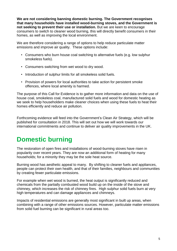**We are not considering banning domestic burning. The Government recognises that many households have installed wood-burning stoves, and the Government is not seeking to prevent their use or installation.** But we are keen to encourage consumers to switch to cleaner wood burning, this will directly benefit consumers in their homes, as well as improving the local environment.

We are therefore considering a range of options to help reduce particulate matter emissions and improve air quality. These options include:

- Consumers who burn house coal switching to alternative fuels (e.g. low sulphur smokeless fuels).
- Consumers switching from wet wood to dry wood.
- Introduction of sulphur limits for all smokeless solid fuels.
- Provision of powers for local authorities to take action for persistent smoke offences, where local amenity is harmed.

The purpose of this Call for Evidence is to gather more information and data on the use of house coal, smokeless coal, manufactured solid fuels and wood for domestic heating as we seek to help householders make cleaner choices when using these fuels to heat their homes efficiently and reduce air pollution.

Forthcoming evidence will feed into the Government's Clean Air Strategy, which will be published for consultation in 2018. This will set out how we will work towards our international commitments and continue to deliver air quality improvements in the UK.

# <span id="page-4-0"></span>**Domestic burning**

The restoration of open fires and installations of wood-burning stoves have risen in popularity over recent years. They are now an additional form of heating for many households; for a minority they may be the sole heat source.

Burning wood has aesthetic appeal to many. By shifting to cleaner fuels and appliances, people can protect their own health, and that of their families, neighbours and communities by creating fewer particulate emissions.

For example when wet wood is burned, the heat output is significantly reduced and chemicals from the partially combusted wood build up on the inside of the stove and chimney, which increases the risk of chimney fires. High sulphur solid fuels burn at very high temperatures and can damage appliances and chimneys.

Impacts of residential emissions are generally most significant in built up areas, when combining with a range of other emissions sources. However, particulate matter emissions from solid fuel burning can be significant in rural areas too.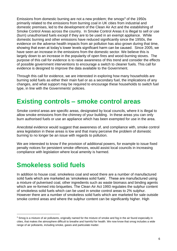Emissions from domestic burning are not a new problem; the smogs<sup>3</sup> of the 1950s primarily related to the emissions from burning coal in UK cities from industrial and domestic premises, led to the development of the Clean Air Act and the establishing of Smoke Control Areas across the country. In Smoke Control Areas it is illegal to sell or use (burn) unauthorised fuels except if they are to be used in an exempt appliance. While domestic burning and other emissions have reduced significantly since the 1950s, the evidence on the adverse health impacts from air pollution has also grown during that time, showing that even at today's lower levels significant harm can be caused. Since 2005, we have seen an increase in the emissions from the domestic sector. We believe this is largely down to an increase in the popularity of open fires and wood-burning stoves. The purpose of this call for evidence is to raise awareness of this trend and consider the effects of possible government interventions to encourage a switch to cleaner fuels. This call for evidence is designed to improve the data available to the Government.

Through this call for evidence, we are interested in exploring how many households are burning solid fuels as either their main fuel or as a secondary fuel, the implications of any changes, and what support may be required to encourage these households to switch fuel type, in line with the Governments' policies.

## <span id="page-5-0"></span>**Existing controls – smoke control areas**

Smoke control areas are specific areas, designated by local councils, where it is illegal to allow smoke emissions from the chimney of your building. In these areas you can only burn authorised fuels or use an appliance which has been exempted for use in the area.

Anecdotal evidence would suggest that awareness of, and compliance with, smoke control area legislation in these areas is low and that many perceive the problem of domestic burning to no longer be an issue with regards to pollution.

We are interested to know if the provision of additional powers, for example to issue fixed penalty notices for persistent smoke offences, would assist local councils in increasing compliance with legislation where local amenity is harmed.

# <span id="page-5-1"></span>**Smokeless solid fuels**

1

In addition to house coal, smokeless coal and wood there are a number of manufactured solid fuels which are marketed as 'smokeless solid fuels'. These are manufactured using a mixture of pulverised coal, other ingredients such as waste biomass and binding agents which are re-formed into briquettes. The Clean Air Act 1993 regulates the sulphur content of smokeless solid fuels which can be used in smoke control areas to 2% sulphur. However there are a number of smokeless solid fuels which are marketed for sale outside smoke control areas and where the sulphur content can be significantly higher. High

<sup>&</sup>lt;sup>3</sup> Smog is a mixture of air pollutants, originally named for the mixture of smoke and fog in the air found especially in cities, that makes the atmosphere difficult to breathe and harmful for health. We now know that smog includes a wide range of air pollutants, including smoke, gases and particulate matter.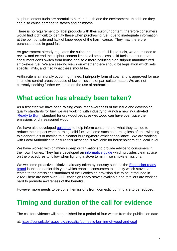sulphur content fuels are harmful to human health and the environment. In addition they can also cause damage to stoves and chimneys.

There is no requirement to label products with their sulphur content, therefore consumers would find it difficult to identify these when purchasing fuel, due to inadequate information at the point of sale and lack of knowledge of the harm cause. They may therefore purchase these in good faith

As government already regulates the sulphur content of all liquid fuels, we are minded to review and extend the sulphur content limit to all smokeless solid fuels to ensure that consumers don't switch from house coal to a more polluting high sulphur manufactured smokeless fuel. We are seeking views on whether there should be legislation which sets specific limits, and if so what these should be.

Anthracite is a naturally occurring, mined, high-purity form of coal, and is approved for use in smoke control areas because of low emissions of particulate matter. We are not currently seeking further evidence on the use of anthracite.

# <span id="page-6-0"></span>**What action has already been taken?**

As a first step we have been raising consumer awareness of the issue and developing quality standards for fuel; we are working with industry to launch a new industry-led ['Ready to Burn'](https://woodsure.co.uk/firewood-ready-burn/) standard for dry wood because wet wood can have over twice the emissions of dry seasoned wood.

We have also developed quidance to help inform consumers of what they can do to reduce their impact when burning solid fuels at home such as burning less often, switching to cleaner fuels or moving to a cleaner burning/more efficient appliance. We are working with Local Authorities to ensure this message is available for householders at a local level.

We have worked with chimney sweep organisations to provide advice to consumers in their own homes. They have developed an [informative guide](https://goo.gl/7N7eYz) which provides clear advice on the procedures to follow when lighting a stove to minimise smoke emissions.

We welcome proactive initiatives already taken by industry such as the Ecodesign-ready [brand](http://www.stoveindustryalliance.com/ecodesign-ready-stoves-and-air-quality/) launched earlier this year which enables consumers to identify which stoves are tested to the emissions standards of the Ecodesign provision due to be introduced in 2022.There are now over 300 Ecodesign ready stoves available and retailers are working hard to promote awareness of the benefits.

However more needs to be done if emissions from domestic burning are to be reduced.

# <span id="page-6-1"></span>**Timing and duration of the call for evidence**

The call for evidence will be published for a period of four weeks from the publication date

at:<https://consult.defra.gov.uk/airquality/domestic-burning-of-wood-and-coal>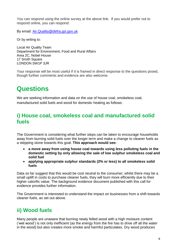You can respond using the online survey at the above link. If you would prefer not to respond online, you can respond:

By email: [Air.Quality@defra.gsi.gov.uk](mailto:Air.Quality@defra.gsi.gov.uk)

Or by writing to:

Local Air Quality Team Department for Environment, Food and Rural Affairs Area 2C, Nobel House 17 Smith Square LONDON SW1P 3JR

Your response will be most useful if it is framed in direct response to the questions posed, though further comments and evidence are also welcome.

# **Questions**

We are seeking information and data on the use of house coal, smokeless coal, manufactured solid fuels and wood for domestic heating as follows:

## **i) House coal, smokeless coal and manufactured solid fuels**

The Government is considering what further steps can be taken to encourage households away from burning solid fuels over the longer term and make a change to cleaner fuels as a stepping stone towards this goal. **This approach would see:** 

- **a move away from using house coal towards using less polluting fuels in the domestic setting by only allowing the sale of low sulphur smokeless coal and solid fuel**
- **applying appropriate sulphur standards (2% or less) to all smokeless solid fuels**

Data so far suggest that this would be cost neutral to the consumer; whilst there may be a small uplift in costs to purchase cleaner fuels, they will burn more efficiently due to their higher calorific value. The background evidence document published with this call for evidence provides further information.

The Government is interested to understand the impact on businesses from a shift towards cleaner fuels, as set out above.

## **ii) Wood fuels**

Many people are unaware that burning newly felled wood with a high moisture content ('wet wood') is not only inefficient (as the energy from the fire has to drive off all the water in the wood) but also creates more smoke and harmful particulates. Dry wood produces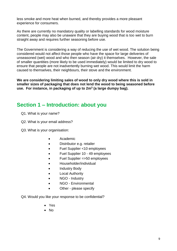less smoke and more heat when burned, and thereby provides a more pleasant experience for consumers.

As there are currently no mandatory quality or labelling standards for wood moisture content, people may also be unaware that they are buying wood that is too wet to burn straight away and requires further seasoning before use.

The Government is considering a way of reducing the use of wet wood. The solution being considered would not affect those people who have the space for large deliveries of unseasoned (wet) wood and who then season (air dry) it themselves. However, the sale of smaller quantities (more likely to be used immediately) would be limited to dry wood to ensure that people are not inadvertently burning wet wood. This would limit the harm caused to themselves, their neighbours, their stove and the environment.

**We are considering limiting sales of wood to only dry wood where this is sold in smaller sizes of packaging that does not lend the wood to being seasoned before use. For instance, in packaging of up to 2m<sup>3</sup> (a large dumpy bag).**

#### **Section 1 – Introduction: about you**

- Q1. What is your name?
- Q2. What is your email address?
- Q3. What is your organisation:
	- Academic
	- Distributor e.g. retailer
	- Fuel Supplier <10 employees
	- Fuel Supplier 10 49 employees
	- Fuel Supplier =>50 employees
	- Householder/individual
	- Industry Body
	- Local Authority
	- NGO Industry
	- NGO Environmental
	- Other please specify

Q4. Would you like your response to be confidential?

- Yes
- $\bullet$  No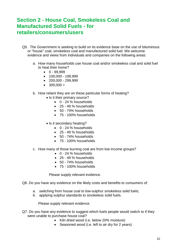## **Section 2 - House Coal, Smokeless Coal and Manufactured Solid Fuels - for retailers/consumers/users**

- Q5. The Government is seeking to build on its evidence base on the use of bituminous or "house" coal, smokeless coal and manufactured solid fuel. We welcome evidence and views from individuals and companies on the following areas:
	- a. How many households use house coal and/or smokeless coal and solid fuel to heat their home?
		- $0 99.999$
		- $\bullet$  100,000 199,999
		- $\bullet$  200,000 299,999
		- $\bullet$  300,000 +
	- b. How reliant they are on these particular forms of heating?
		- Is it their primary source?
			- 0 24 % households
			- 25 49 % households
			- $\bullet$  50 74% households
			- 75 100% households
		- Is it secondary heating?
			- $\bullet$  0 24 % households
			- 25 49 % households
			- $\bullet$  50 74% households
			- 75 100% households
	- c. How many of those burning coal are from low income groups?
		- 0 24 % households
		- 25 49 % households
		- 50 74% households
		- 75 100% households

Please supply relevant evidence.

Q6. Do you have any evidence on the likely costs and benefits to consumers of:

- a. switching from house coal to low-sulphur smokeless solid fuels;
- b. applying sulphur standards to smokeless solid fuels.

Please supply relevant evidence.

- Q7. Do you have any evidence to suggest which fuels people would switch to if they were unable to purchase house coal?
	- Kiln dried wood (i.e. below 20% moisture)
	- Seasoned wood (i.e. left to air dry for 2 years)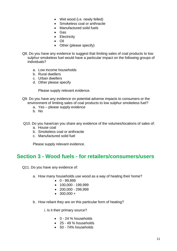- Wet wood (i.e. newly felled)
- Smokeless coal or anthracite
- Manufactured solid fuels
- Gas
- Electricity
- Oil
- Other (please specify)
- Q8. Do you have any evidence to suggest that limiting sales of coal products to low sulphur smokeless fuel would have a particular impact on the following groups of individuals?
	- a. Low income households
	- b. Rural dwellers
	- c. Urban dwellers
	- d. Other please specify

Please supply relevant evidence.

- Q9. Do you have any evidence on potential adverse impacts to consumers or the environment of limiting sales of coal products to low sulphur smokeless fuel?
	- a. Yes please supply evidence
	- b. No
- Q10. Do you have/can you share any evidence of the volumes/locations of sales of:
	- a. House coal
	- b. Smokeless coal or anthracite
	- c. Manufactured solid fuel

Please supply relevant evidence.

#### **Section 3 - Wood fuels - for retailers/consumers/users**

Q11. Do you have any evidence of:

- a. How many households use wood as a way of heating their home?
	- $0 99.999$
	- $-100,000 199,999$
	- $\bullet$  200,000 299,999
	- $\bullet$  300,000 +
- b. How reliant they are on this particular form of heating?

i. Is it their primary source?

- $\bullet$  0 24 % households
- 25 49 % households
- 50 74% households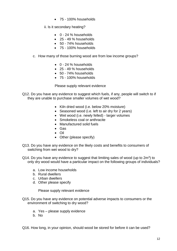- 75 100% households
- ii. Is it secondary heating?
	- $\bullet$  0 24 % households
	- 25 49 % households
	- 50 74% households
	- 75 100% households
- c. How many of those burning wood are from low income groups?
	- 0 24 % households
	- 25 49 % households
	- 50 74% households
	- 75 100% households

Please supply relevant evidence

- Q12. Do you have any evidence to suggest which fuels, if any, people will switch to if they are unable to purchase smaller volumes of wet wood?
	- Kiln dried wood (i.e. below 20% moisture)
	- Seasoned wood (i.e. left to air dry for 2 years)
	- Wet wood (i.e. newly felled) larger volumes
	- Smokeless coal or anthracite
	- Manufactured solid fuels
	- Gas
	- Oil
	- Other (please specify)
- Q13. Do you have any evidence on the likely costs and benefits to consumers of switching from wet wood to dry?
- Q14. Do you have any evidence to suggest that limiting sales of wood (up to  $2m^3$ ) to only dry wood would have a particular impact on the following groups of individuals?
	- a. Low income households
	- b. Rural dwellers
	- c. Urban dwellers
	- d. Other please specify

Please supply relevant evidence

- Q15. Do you have any evidence on potential adverse impacts to consumers or the environment of switching to dry wood?
	- a. Yes please supply evidence
	- b. No

Q16. How long, in your opinion, should wood be stored for before it can be used?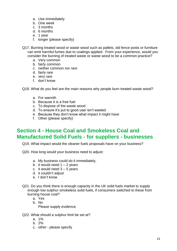- a. Use immediately
- b. One week
- c. 3 months
- d. 6 months
- e. 1 year
- f. longer (please specify)
- Q17. Burning treated wood or waste wood such as pallets, old fence posts or furniture can emit harmful fumes due to coatings applied. From your experience, would you consider the burning of treated waste or waste wood to be a common practice?
	- a. Very common
	- b. fairly common
	- c. neither common nor rare
	- d. fairly rare
	- e. very rare
	- f. don't know

Q18. What do you feel are the main reasons why people burn treated waste wood?

- a. For warmth
- b. Because it is a free fuel
- c. To dispose of the waste wood
- d. To ensure it's put to good use/ isn't wasted
- e. Because they don't know what impact it might have
- f. Other (please specify)

## **Section 4 - House Coal and Smokeless Coal and Manufactured Solid Fuels - for suppliers - businesses**

Q19. What impact would the cleaner fuels proposals have on your business?

- Q20. How long would your business need to adjust:
	- a. My business could do it immediately,
	- b. it would need  $1 2$  years
	- c. it would need  $3 5$  years
	- d. it couldn't adjust
	- e. I don't know
- Q21. Do you think there is enough capacity in the UK solid fuels market to supply enough low sulphur smokeless solid fuels, if consumers switched to these from burning house coal?
	- a. Yes
	- b. No

Please supply evidence.

- Q22. What should a sulphur limit be set at?
	- a. 1%
	- b. 2%
	- c. other please specify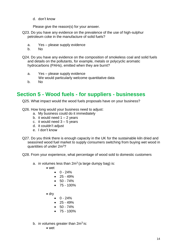d. don't know

Please give the reason(s) for your answer.

- Q23. Do you have any evidence on the prevalence of the use of high-sulphur petroleum coke in the manufacture of solid fuels?
	- a. Yes please supply evidence
	- b. No
- Q24. Do you have any evidence on the composition of smokeless coal and solid fuels and details on the pollutants, for example, metals or polycyclic aromatic hydrocarbons (PAHs), emitted when they are burnt?
	- a. Yes please supply evidence
		- We would particularly welcome quantitative data
	- b. No

## **Section 5 - Wood fuels - for suppliers - businesses**

Q25. What impact would the wood fuels proposals have on your business?

- Q26. How long would your business need to adjust:
	- a. My business could do it immediately
	- b. it would need  $1 2$  years
	- c. it would need  $3 5$  years
	- d. it couldn't adjust
	- e. I don't know
- Q27. Do you think there is enough capacity in the UK for the sustainable kiln dried and seasoned wood fuel market to supply consumers switching from buying wet wood in quantities of under 2m<sup>3</sup>?
- Q28. From your experience, what percentage of wood sold to domestic customers
	- a. in volumes less than  $2m<sup>3</sup>$  (a large dumpy bag) is:
		- wet
			- $0 24%$
			- $\bullet$  25 49%
			- $50 74%$
			- $75 100\%$
		- drv
			- $0 24%$
			- $\bullet$  25 49%
			- $50 74%$
			- $-75 100%$
	- b. in volumes greater than  $2m^3$  is:
		- wet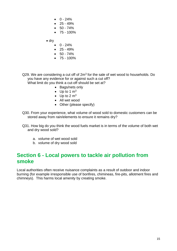- $0 24%$
- $\bullet$  25 49%
- $50 74%$
- $-75 100\%$

 $\bullet$  dry

- $0 24%$
- $\bullet$  25 49%
- $50 74%$
- $75 100\%$

Q29. We are considering a cut off of  $2m<sup>3</sup>$  for the sale of wet wood to households. Do you have any evidence for or against such a cut off? What limit do you think a cut-off should be set at?

- Bags/nets only
	- $\bullet$  Up to 1 m<sup>3</sup>
	- $\bullet$  Up to 2 m<sup>3</sup>
	- All wet wood
	-
	- Other (please specify)
- Q30. From your experience, what volume of wood sold to domestic customers can be stored away from rain/elements to ensure it remains dry?
- Q31. How big do you think the wood fuels market is in terms of the volume of both wet and dry wood sold?
	- a. volume of wet wood sold
	- b. volume of dry wood sold

#### **Section 6 - Local powers to tackle air pollution from smoke**

Local authorities often receive nuisance complaints as a result of outdoor and indoor burning (for example irresponsible use of bonfires, chimineas, fire-pits, allotment fires and chimneys). This harms local amenity by creating smoke.